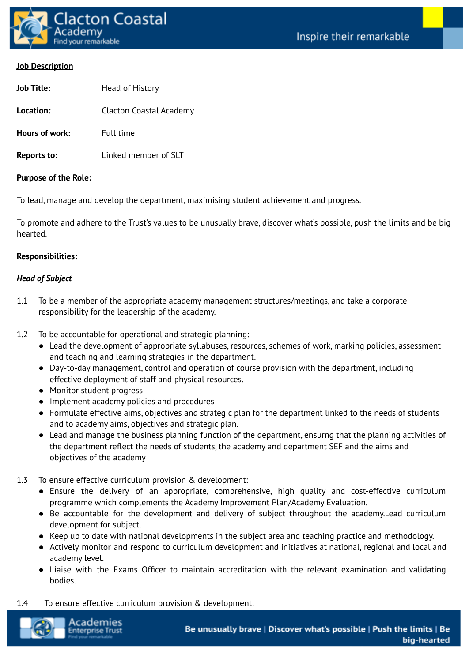

**Job Title:** Head of History

#### **Job Description**

| ,,,,,,,,,,,    | $11244$ $011113601$     |
|----------------|-------------------------|
| Location:      | Clacton Coastal Academy |
| Hours of work: | <b>Full time</b>        |

**Reports to:** Linked member of SLT

#### **Purpose of the Role:**

To lead, manage and develop the department, maximising student achievement and progress.

To promote and adhere to the Trust's values to be unusually brave, discover what's possible, push the limits and be big hearted.

#### **Responsibilities:**

#### *Head of Subject*

- 1.1 To be a member of the appropriate academy management structures/meetings, and take a corporate responsibility for the leadership of the academy.
- 1.2 To be accountable for operational and strategic planning:
	- Lead the development of appropriate syllabuses, resources, schemes of work, marking policies, assessment and teaching and learning strategies in the department.
	- Day-to-day management, control and operation of course provision with the department, including effective deployment of staff and physical resources.
	- Monitor student progress
	- Implement academy policies and procedures
	- Formulate effective aims, objectives and strategic plan for the department linked to the needs of students and to academy aims, objectives and strategic plan.
	- Lead and manage the business planning function of the department, ensurng that the planning activities of the department reflect the needs of students, the academy and department SEF and the aims and objectives of the academy
- 1.3 To ensure effective curriculum provision & development:
	- Ensure the delivery of an appropriate, comprehensive, high quality and cost-effective curriculum programme which complements the Academy Improvement Plan/Academy Evaluation.
	- Be accountable for the development and delivery of subject throughout the academy.Lead curriculum development for subject.
	- Keep up to date with national developments in the subject area and teaching practice and methodology.
	- Actively monitor and respond to curriculum development and initiatives at national, regional and local and academy level.
	- Liaise with the Exams Officer to maintain accreditation with the relevant examination and validating bodies.
- 1.4 To ensure effective curriculum provision & development:

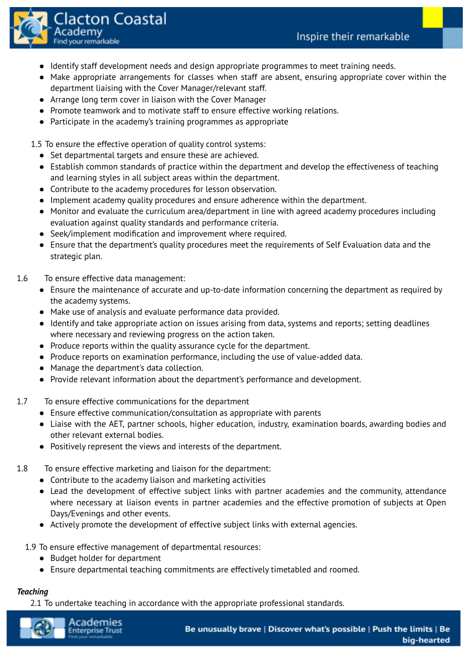

- Identify staff development needs and design appropriate programmes to meet training needs.
- Make appropriate arrangements for classes when staff are absent, ensuring appropriate cover within the department liaising with the Cover Manager/relevant staff.
- Arrange long term cover in liaison with the Cover Manager
- Promote teamwork and to motivate staff to ensure effective working relations.
- Participate in the academy's training programmes as appropriate

1.5 To ensure the effective operation of quality control systems:

- Set departmental targets and ensure these are achieved.
- Establish common standards of practice within the department and develop the effectiveness of teaching and learning styles in all subject areas within the department.
- Contribute to the academy procedures for lesson observation.
- Implement academy quality procedures and ensure adherence within the department.
- Monitor and evaluate the curriculum area/department in line with agreed academy procedures including evaluation against quality standards and performance criteria.
- Seek/implement modification and improvement where required.
- Ensure that the department's quality procedures meet the requirements of Self Evaluation data and the strategic plan.
- 1.6 To ensure effective data management:
	- Ensure the maintenance of accurate and up-to-date information concerning the department as required by the academy systems.
	- Make use of analysis and evaluate performance data provided.
	- Identify and take appropriate action on issues arising from data, systems and reports; setting deadlines where necessary and reviewing progress on the action taken.
	- Produce reports within the quality assurance cycle for the department.
	- Produce reports on examination performance, including the use of value-added data.
	- Manage the department's data collection.
	- Provide relevant information about the department's performance and development.
- 1.7 To ensure effective communications for the department
	- Ensure effective communication/consultation as appropriate with parents
	- Liaise with the AET, partner schools, higher education, industry, examination boards, awarding bodies and other relevant external bodies.
	- Positively represent the views and interests of the department.
- 1.8 To ensure effective marketing and liaison for the department:
	- Contribute to the academy liaison and marketing activities
	- Lead the development of effective subject links with partner academies and the community, attendance where necessary at liaison events in partner academies and the effective promotion of subjects at Open Days/Evenings and other events.
	- Actively promote the development of effective subject links with external agencies.
	- 1.9 To ensure effective management of departmental resources:
		- Budget holder for department
		- Ensure departmental teaching commitments are effectively timetabled and roomed.

# *Teaching*

2.1 To undertake teaching in accordance with the appropriate professional standards.

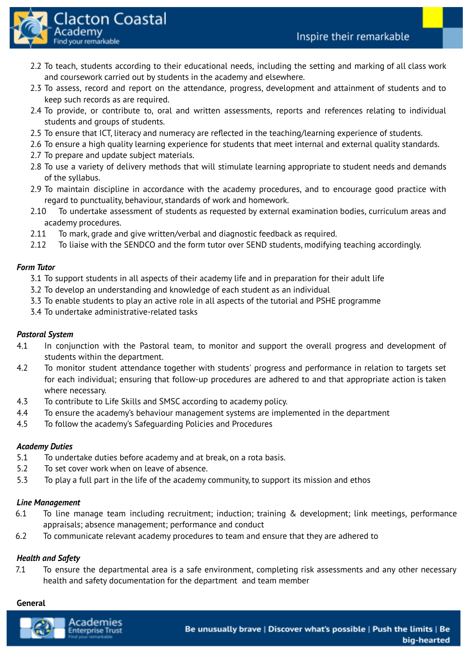

- 2.2 To teach, students according to their educational needs, including the setting and marking of all class work and coursework carried out by students in the academy and elsewhere.
- 2.3 To assess, record and report on the attendance, progress, development and attainment of students and to keep such records as are required.
- 2.4 To provide, or contribute to, oral and written assessments, reports and references relating to individual students and groups of students.
- 2.5 To ensure that ICT, literacy and numeracy are reflected in the teaching/learning experience of students.
- 2.6 To ensure a high quality learning experience for students that meet internal and external quality standards.
- 2.7 To prepare and update subject materials.
- 2.8 To use a variety of delivery methods that will stimulate learning appropriate to student needs and demands of the syllabus.
- 2.9 To maintain discipline in accordance with the academy procedures, and to encourage good practice with regard to punctuality, behaviour, standards of work and homework.
- 2.10 To undertake assessment of students as requested by external examination bodies, curriculum areas and academy procedures.
- 2.11 To mark, grade and give written/verbal and diagnostic feedback as required.
- 2.12 To liaise with the SENDCO and the form tutor over SEND students, modifying teaching accordingly.

# *Form Tutor*

- 3.1 To support students in all aspects of their academy life and in preparation for their adult life
- 3.2 To develop an understanding and knowledge of each student as an individual
- 3.3 To enable students to play an active role in all aspects of the tutorial and PSHE programme
- 3.4 To undertake administrative-related tasks

## *Pastoral System*

- 4.1 In conjunction with the Pastoral team, to monitor and support the overall progress and development of students within the department.
- 4.2 To monitor student attendance together with students' progress and performance in relation to targets set for each individual; ensuring that follow-up procedures are adhered to and that appropriate action is taken where necessary.
- 4.3 To contribute to Life Skills and SMSC according to academy policy.
- 4.4 To ensure the academy's behaviour management systems are implemented in the department
- 4.5 To follow the academy's Safeguarding Policies and Procedures

## *Academy Duties*

- 5.1 To undertake duties before academy and at break, on a rota basis.
- 5.2 To set cover work when on leave of absence.
- 5.3 To play a full part in the life of the academy community, to support its mission and ethos

## *Line Management*

- 6.1 To line manage team including recruitment; induction; training & development; link meetings, performance appraisals; absence management; performance and conduct
- 6.2 To communicate relevant academy procedures to team and ensure that they are adhered to

## *Health and Safety*

7.1 To ensure the departmental area is a safe environment, completing risk assessments and any other necessary health and safety documentation for the department and team member

## **General**

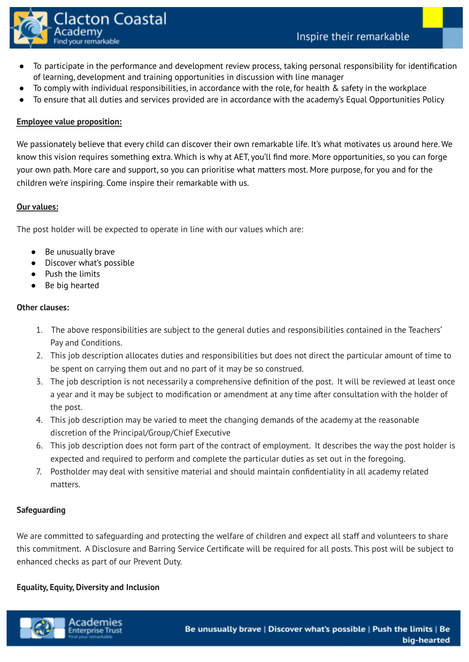

- To participate in the performance and development review process, taking personal responsibility for identification of learning, development and training opportunities in discussion with line manager
- To comply with individual responsibilities, in accordance with the role, for health  $\&$  safety in the workplace
- To ensure that all duties and services provided are in accordance with the academy's Equal Opportunities Policy

# **Employee value proposition:**

We passionately believe that every child can discover their own remarkable life. It's what motivates us around here. We know this vision requires something extra. Which is why at AET, you'll find more. More opportunities, so you can forge your own path. More care and support, so you can prioritise what matters most. More purpose, for you and for the children we're inspiring. Come inspire their remarkable with us.

## **Our values:**

The post holder will be expected to operate in line with our values which are:

- Be unusually brave
- Discover what's possible
- Push the limits
- Be big hearted

# **Other clauses:**

- 1. The above responsibilities are subject to the general duties and responsibilities contained in the Teachers' Pay and Conditions.
- 2. This job description allocates duties and responsibilities but does not direct the particular amount of time to be spent on carrying them out and no part of it may be so construed.
- 3. The job description is not necessarily a comprehensive definition of the post. It will be reviewed at least once a year and it may be subject to modification or amendment at any time after consultation with the holder of the post.
- 4. This job description may be varied to meet the changing demands of the academy at the reasonable discretion of the Principal/Group/Chief Executive
- 6. This job description does not form part of the contract of employment. It describes the way the post holder is expected and required to perform and complete the particular duties as set out in the foregoing.
- 7. Postholder may deal with sensitive material and should maintain confidentiality in all academy related matters.

## **Safeguarding**

We are committed to safeguarding and protecting the welfare of children and expect all staff and volunteers to share this commitment. A Disclosure and Barring Service Certificate will be required for all posts. This post will be subject to enhanced checks as part of our Prevent Duty.

## **Equality, Equity, Diversity and Inclusion**

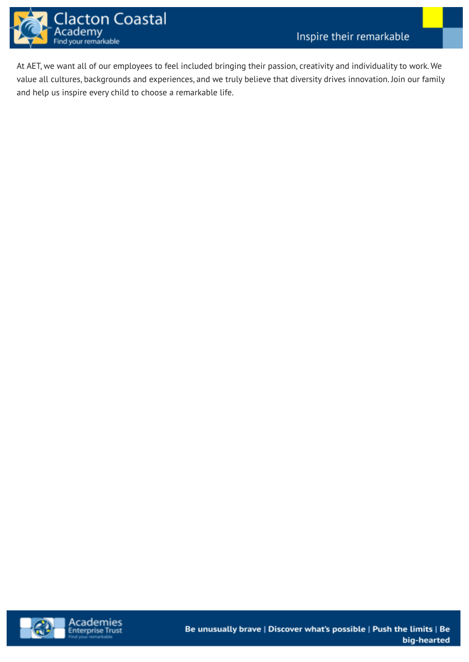

At AET, we want all of our employees to feel included bringing their passion, creativity and individuality to work. We value all cultures, backgrounds and experiences, and we truly believe that diversity drives innovation. Join our family and help us inspire every child to choose a remarkable life.

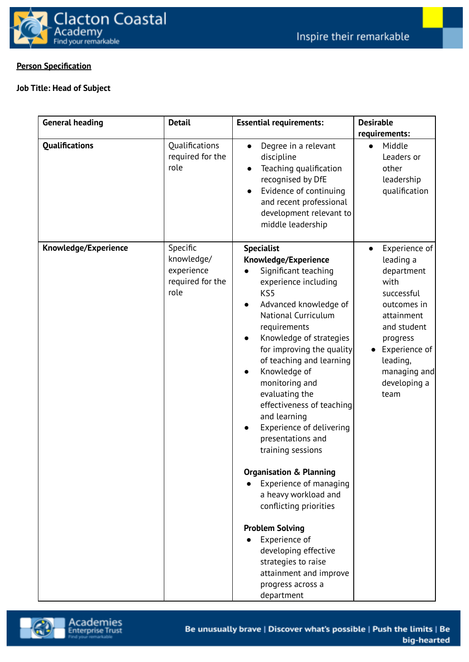

# **Person Specification**

# **Job Title: Head of Subject**

| <b>General heading</b> | <b>Detail</b>                                                    | <b>Essential requirements:</b>                                                                                                                                                                                                                                                                                                                                                                                                                                                                                                                                                                                                                                                                              | <b>Desirable</b><br>requirements:                                                                                                                                                                        |
|------------------------|------------------------------------------------------------------|-------------------------------------------------------------------------------------------------------------------------------------------------------------------------------------------------------------------------------------------------------------------------------------------------------------------------------------------------------------------------------------------------------------------------------------------------------------------------------------------------------------------------------------------------------------------------------------------------------------------------------------------------------------------------------------------------------------|----------------------------------------------------------------------------------------------------------------------------------------------------------------------------------------------------------|
| <b>Qualifications</b>  | Qualifications<br>required for the<br>role                       | Degree in a relevant<br>discipline<br>Teaching qualification<br>recognised by DfE<br>Evidence of continuing<br>and recent professional<br>development relevant to<br>middle leadership                                                                                                                                                                                                                                                                                                                                                                                                                                                                                                                      | Middle<br>$\bullet$<br>Leaders or<br>other<br>leadership<br>qualification                                                                                                                                |
| Knowledge/Experience   | Specific<br>knowledge/<br>experience<br>required for the<br>role | <b>Specialist</b><br>Knowledge/Experience<br>Significant teaching<br>experience including<br>KS5<br>Advanced knowledge of<br><b>National Curriculum</b><br>requirements<br>Knowledge of strategies<br>for improving the quality<br>of teaching and learning<br>Knowledge of<br>monitoring and<br>evaluating the<br>effectiveness of teaching<br>and learning<br>Experience of delivering<br>presentations and<br>training sessions<br><b>Organisation &amp; Planning</b><br>Experience of managing<br>a heavy workload and<br>conflicting priorities<br><b>Problem Solving</b><br>Experience of<br>developing effective<br>strategies to raise<br>attainment and improve<br>progress across a<br>department | Experience of<br>leading a<br>department<br>with<br>successful<br>outcomes in<br>attainment<br>and student<br>progress<br>Experience of<br>$\bullet$<br>leading,<br>managing and<br>developing a<br>team |

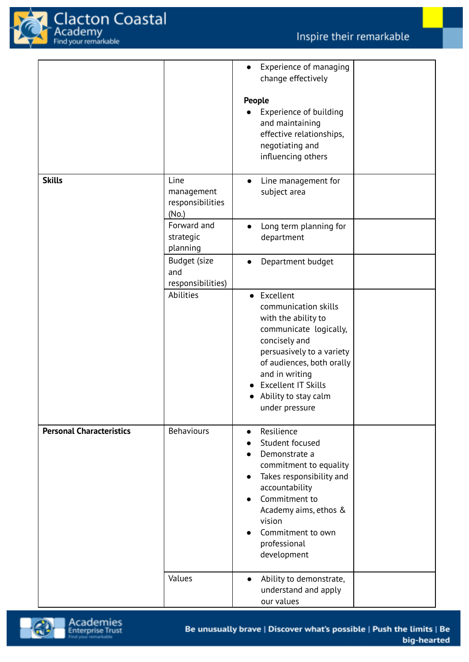

|                                 |                                                                                                         | Experience of managing<br>$\bullet$<br>change effectively<br>People<br>Experience of building<br>and maintaining<br>effective relationships,<br>negotiating and<br>influencing others                                                                                                           |  |
|---------------------------------|---------------------------------------------------------------------------------------------------------|-------------------------------------------------------------------------------------------------------------------------------------------------------------------------------------------------------------------------------------------------------------------------------------------------|--|
| <b>Skills</b>                   | Line<br>management<br>responsibilities<br>(No.)<br>Forward and<br>strategic<br>planning<br>Budget (size | Line management for<br>$\bullet$<br>subject area<br>Long term planning for<br>$\bullet$<br>department<br>Department budget<br>$\bullet$                                                                                                                                                         |  |
|                                 | and<br>responsibilities)<br>Abilities                                                                   | Excellent<br>$\bullet$<br>communication skills<br>with the ability to<br>communicate logically,<br>concisely and<br>persuasively to a variety<br>of audiences, both orally<br>and in writing<br><b>Excellent IT Skills</b><br>Ability to stay calm<br>under pressure                            |  |
| <b>Personal Characteristics</b> | <b>Behaviours</b>                                                                                       | Resilience<br>$\bullet$<br>Student focused<br>Demonstrate a<br>$\bullet$<br>commitment to equality<br>Takes responsibility and<br>$\bullet$<br>accountability<br>Commitment to<br>$\bullet$<br>Academy aims, ethos &<br>vision<br>Commitment to own<br>$\bullet$<br>professional<br>development |  |
|                                 | Values                                                                                                  | Ability to demonstrate,<br>$\bullet$<br>understand and apply<br>our values                                                                                                                                                                                                                      |  |